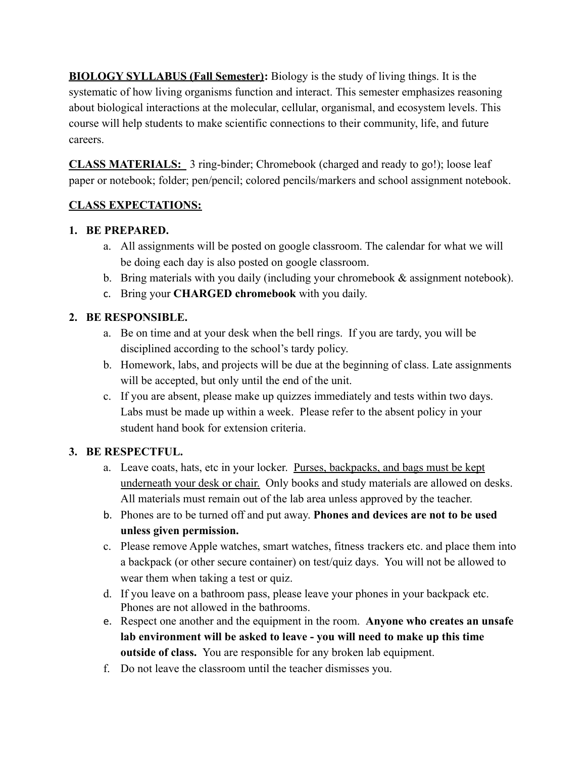**BIOLOGY SYLLABUS (Fall Semester):** Biology is the study of living things. It is the systematic of how living organisms function and interact. This semester emphasizes reasoning about biological interactions at the molecular, cellular, organismal, and ecosystem levels. This course will help students to make scientific connections to their community, life, and future careers.

**CLASS MATERIALS:** 3 ring-binder; Chromebook (charged and ready to go!); loose leaf paper or notebook; folder; pen/pencil; colored pencils/markers and school assignment notebook.

# **CLASS EXPECTATIONS:**

## **1. BE PREPARED.**

- a. All assignments will be posted on google classroom. The calendar for what we will be doing each day is also posted on google classroom.
- b. Bring materials with you daily (including your chromebook & assignment notebook).
- c. Bring your **CHARGED chromebook** with you daily.

# **2. BE RESPONSIBLE.**

- a. Be on time and at your desk when the bell rings. If you are tardy, you will be disciplined according to the school's tardy policy.
- b. Homework, labs, and projects will be due at the beginning of class. Late assignments will be accepted, but only until the end of the unit.
- c. If you are absent, please make up quizzes immediately and tests within two days. Labs must be made up within a week. Please refer to the absent policy in your student hand book for extension criteria.

# **3. BE RESPECTFUL.**

- a. Leave coats, hats, etc in your locker. Purses, backpacks, and bags must be kept underneath your desk or chair. Only books and study materials are allowed on desks. All materials must remain out of the lab area unless approved by the teacher.
- b. Phones are to be turned off and put away. **Phones and devices are not to be used unless given permission.**
- c. Please remove Apple watches, smart watches, fitness trackers etc. and place them into a backpack (or other secure container) on test/quiz days. You will not be allowed to wear them when taking a test or quiz.
- d. If you leave on a bathroom pass, please leave your phones in your backpack etc. Phones are not allowed in the bathrooms.
- e. Respect one another and the equipment in the room. **Anyone who creates an unsafe lab environment will be asked to leave - you will need to make up this time outside of class.** You are responsible for any broken lab equipment.
- f. Do not leave the classroom until the teacher dismisses you.